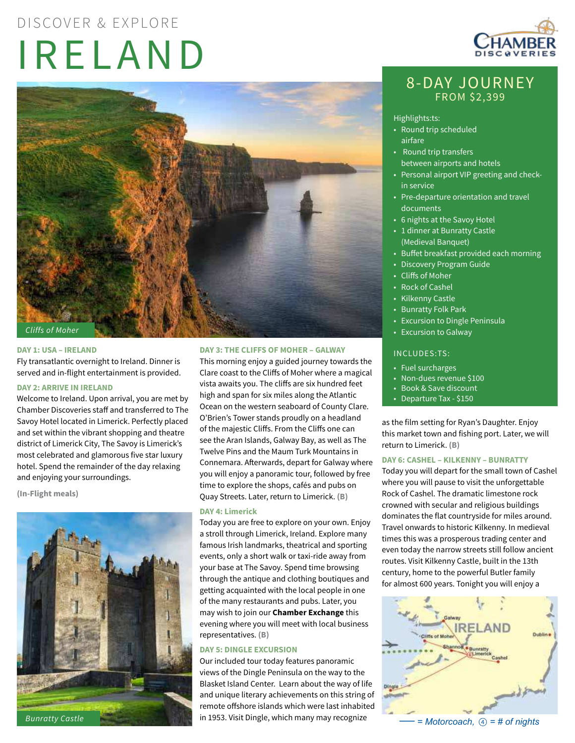# IRELAND DISCOVER & EXPLORE



#### **DAY 1: USA – IRELAND**

Fly transatlantic overnight to Ireland. Dinner is served and in-flight entertainment is provided.

# **DAY 2: ARRIVE IN IRELAND**

Welcome to Ireland. Upon arrival, you are met by Chamber Discoveries staff and transferred to The Savoy Hotel located in Limerick. Perfectly placed and set within the vibrant shopping and theatre district of Limerick City, The Savoy is Limerick's most celebrated and glamorous five star luxury hotel. Spend the remainder of the day relaxing and enjoying your surroundings.

**(In-Flight meals)**



#### **DAY 3: THE CLIFFS OF MOHER – GALWAY**

This morning enjoy a guided journey towards the Clare coast to the Cliffs of Moher where a magical vista awaits you. The cliffs are six hundred feet high and span for six miles along the Atlantic Ocean on the western seaboard of County Clare. O'Brien's Tower stands proudly on a headland of the majestic Cliffs. From the Cliffs one can see the Aran Islands, Galway Bay, as well as The Twelve Pins and the Maum Turk Mountains in Connemara. Afterwards, depart for Galway where you will enjoy a panoramic tour, followed by free time to explore the shops, cafés and pubs on Quay Streets. Later, return to Limerick. **(B)**

#### **DAY 4: Limerick**

Today you are free to explore on your own. Enjoy a stroll through Limerick, Ireland. Explore many famous Irish landmarks, theatrical and sporting events, only a short walk or taxi-ride away from your base at The Savoy. Spend time browsing through the antique and clothing boutiques and getting acquainted with the local people in one of the many restaurants and pubs. Later, you may wish to join our **Chamber Exchange** this evening where you will meet with local business representatives. **(B)**

# **DAY 5: DINGLE EXCURSION**

Our included tour today features panoramic views of the Dingle Peninsula on the way to the Blasket Island Center. Learn about the way of life and unique literary achievements on this string of remote offshore islands which were last inhabited in 1953. Visit Dingle, which many may recognize



# 8-DAY JOURNEY FROM \$2,399

#### Highlights:ts:

- Round trip scheduled airfare
- Round trip transfers between airports and hotels
- Personal airport VIP greeting and checkin service
- Pre-departure orientation and travel documents
- 6 nights at the Savoy Hotel
- 1 dinner at Bunratty Castle (Medieval Banquet)
- Buffet breakfast provided each morning
- Discovery Program Guide
- Cliffs of Moher
- Rock of Cashel
- Kilkenny Castle
- Bunratty Folk Park
- Excursion to Dingle Peninsula
- Excursion to Galway

# INCLUDES:TS:

- Fuel surcharges
- Non-dues revenue \$100
- Book & Save discount
- Departure Tax \$150

as the film setting for Ryan's Daughter. Enjoy this market town and fishing port. Later, we will return to Limerick. **(B)**

# **DAY 6: CASHEL – KILKENNY – BUNRATTY**

Today you will depart for the small town of Cashel where you will pause to visit the unforgettable Rock of Cashel. The dramatic limestone rock crowned with secular and religious buildings dominates the flat countryside for miles around. Travel onwards to historic Kilkenny. In medieval times this was a prosperous trading center and even today the narrow streets still follow ancient routes. Visit Kilkenny Castle, built in the 13th century, home to the powerful Butler family for almost 600 years. Tonight you will enjoy a



 $=$  *Motorcoach,*   $\circled{a}$  = *# of nights*